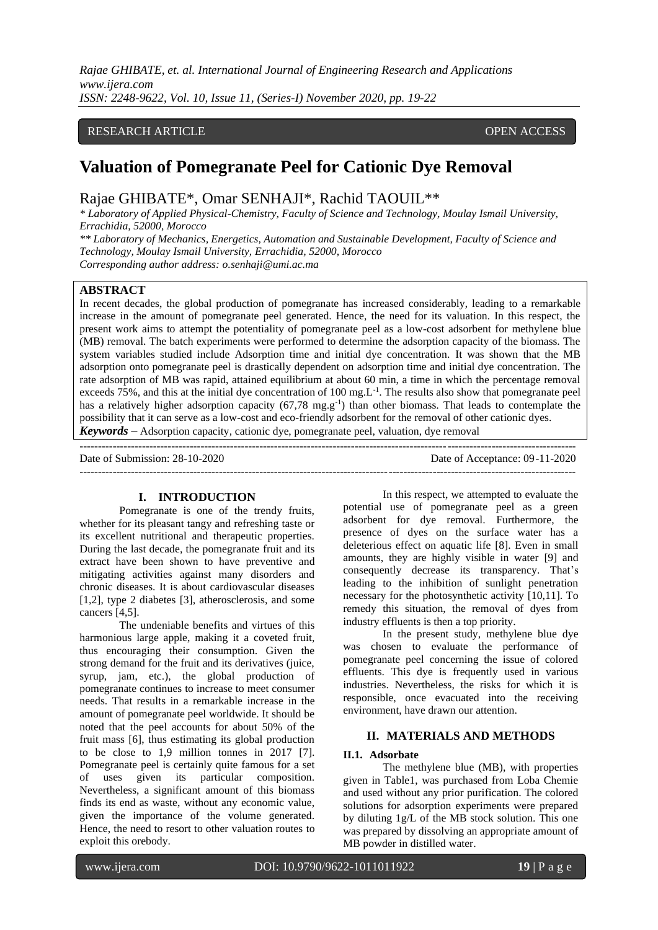*Rajae GHIBATE, et. al. International Journal of Engineering Research and Applications www.ijera.com ISSN: 2248-9622, Vol. 10, Issue 11, (Series-I) November 2020, pp. 19-22*

# RESEARCH ARTICLE **CONSERVERS** OPEN ACCESS

# **Valuation of Pomegranate Peel for Cationic Dye Removal**

Rajae GHIBATE\*, Omar SENHAJI\*, Rachid TAOUIL\*\*

*\* Laboratory of Applied Physical-Chemistry, Faculty of Science and Technology, Moulay Ismail University, Errachidia, 52000, Morocco*

*\*\* Laboratory of Mechanics, Energetics, Automation and Sustainable Development, Faculty of Science and Technology, Moulay Ismail University, Errachidia, 52000, Morocco Corresponding author address: [o.senhaji@umi.ac.ma](mailto:o.senhaji@umi.ac.ma)*

# **ABSTRACT**

In recent decades, the global production of pomegranate has increased considerably, leading to a remarkable increase in the amount of pomegranate peel generated. Hence, the need for its valuation. In this respect, the present work aims to attempt the potentiality of pomegranate peel as a low-cost adsorbent for methylene blue (MB) removal. The batch experiments were performed to determine the adsorption capacity of the biomass. The system variables studied include Adsorption time and initial dye concentration. It was shown that the MB adsorption onto pomegranate peel is drastically dependent on adsorption time and initial dye concentration. The rate adsorption of MB was rapid, attained equilibrium at about 60 min, a time in which the percentage removal exceeds 75%, and this at the initial dye concentration of 100 mg. $L^{-1}$ . The results also show that pomegranate peel has a relatively higher adsorption capacity (67,78 mg.g<sup>-1</sup>) than other biomass. That leads to contemplate the possibility that it can serve as a low-cost and eco-friendly adsorbent for the removal of other cationic dyes. *Keywords* **–** Adsorption capacity, cationic dye, pomegranate peel, valuation, dye removal

--------------------------------------------------------------------------------------------------------------------------------------- Date of Submission: 28-10-2020 Date of Acceptance: 09-11-2020 ---------------------------------------------------------------------------------------------------------------------------------------

#### **I. INTRODUCTION**

Pomegranate is one of the trendy fruits, whether for its pleasant tangy and refreshing taste or its excellent nutritional and therapeutic properties. During the last decade, the pomegranate fruit and its extract have been shown to have preventive and mitigating activities against many disorders and chronic diseases. It is about cardiovascular diseases [1,2], type 2 diabetes [3], atherosclerosis, and some cancers [4,5].

The undeniable benefits and virtues of this harmonious large apple, making it a coveted fruit, thus encouraging their consumption. Given the strong demand for the fruit and its derivatives (juice, syrup, jam, etc.), the global production of pomegranate continues to increase to meet consumer needs. That results in a remarkable increase in the amount of pomegranate peel worldwide. It should be noted that the peel accounts for about 50% of the fruit mass [6], thus estimating its global production to be close to 1,9 million tonnes in 2017 [7]. Pomegranate peel is certainly quite famous for a set of uses given its particular composition. Nevertheless, a significant amount of this biomass finds its end as waste, without any economic value, given the importance of the volume generated. Hence, the need to resort to other valuation routes to exploit this orebody.

In this respect, we attempted to evaluate the potential use of pomegranate peel as a green adsorbent for dye removal. Furthermore, the presence of dyes on the surface water has a deleterious effect on aquatic life [8]. Even in small amounts, they are highly visible in water [9] and consequently decrease its transparency. That's leading to the inhibition of sunlight penetration necessary for the photosynthetic activity [10,11]. To remedy this situation, the removal of dyes from industry effluents is then a top priority.

In the present study, methylene blue dye was chosen to evaluate the performance of pomegranate peel concerning the issue of colored effluents. This dye is frequently used in various industries. Nevertheless, the risks for which it is responsible, once evacuated into the receiving environment, have drawn our attention.

# **II. MATERIALS AND METHODS**

## **II.1. Adsorbate**

The methylene blue (MB), with properties given in Table1, was purchased from Loba Chemie and used without any prior purification. The colored solutions for adsorption experiments were prepared by diluting 1g/L of the MB stock solution. This one was prepared by dissolving an appropriate amount of MB powder in distilled water.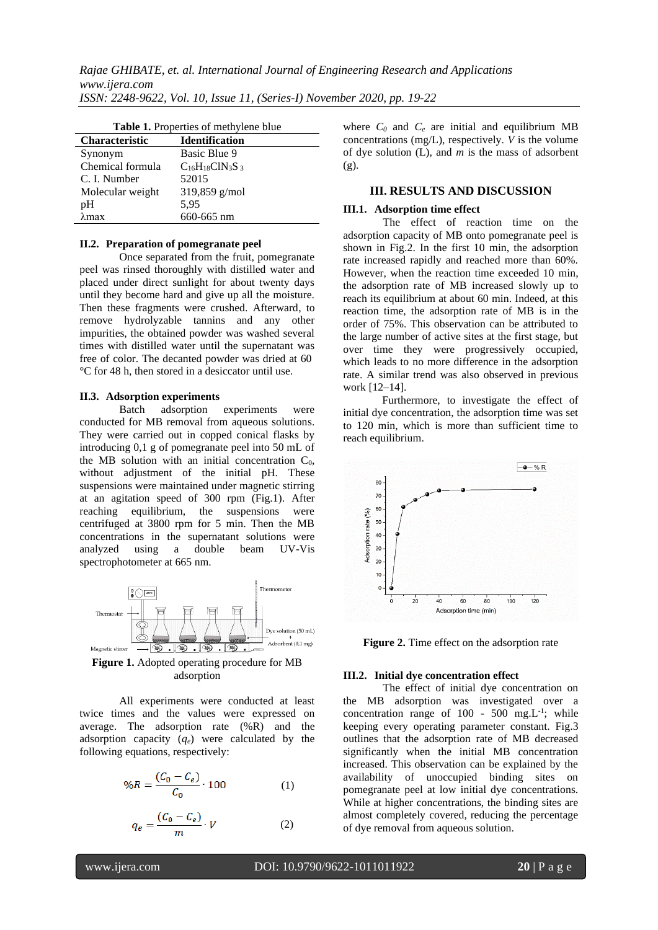| Table 1. Properties of methylene blue |                        |  |
|---------------------------------------|------------------------|--|
| Characteristic                        | <b>Identification</b>  |  |
| Synonym                               | Basic Blue 9           |  |
| Chemical formula                      | $C_{16}H_{18}CIN_3S_3$ |  |
| C. I. Number                          | 52015                  |  |
| Molecular weight                      | 319,859 g/mol          |  |
| pH                                    | 5,95                   |  |
| $\lambda$ max                         | 660-665 nm             |  |

#### **II.2. Preparation of pomegranate peel**

Once separated from the fruit, pomegranate peel was rinsed thoroughly with distilled water and placed under direct sunlight for about twenty days until they become hard and give up all the moisture. Then these fragments were crushed. Afterward, to remove hydrolyzable tannins and any other impurities, the obtained powder was washed several times with distilled water until the supernatant was free of color. The decanted powder was dried at 60 °C for 48 h, then stored in a desiccator until use.

#### **II.3. Adsorption experiments**

Batch adsorption experiments were conducted for MB removal from aqueous solutions. They were carried out in copped conical flasks by introducing 0,1 g of pomegranate peel into 50 mL of the MB solution with an initial concentration  $C_0$ , without adjustment of the initial pH. These suspensions were maintained under magnetic stirring at an agitation speed of 300 rpm (Fig.1). After reaching equilibrium, the suspensions were centrifuged at 3800 rpm for 5 min. Then the MB concentrations in the supernatant solutions were<br>analyzed using a double beam UV-Vis analyzed using a spectrophotometer at 665 nm.



**Figure 1.** Adopted operating procedure for MB adsorption

All experiments were conducted at least twice times and the values were expressed on average. The adsorption rate (%R) and the adsorption capacity (*qe*) were calculated by the following equations, respectively:

$$
\%R = \frac{(C_0 - C_e)}{C_0} \cdot 100\tag{1}
$$

$$
q_e = \frac{(C_0 - C_e)}{m} \cdot V \tag{2}
$$

where  $C_0$  and  $C_e$  are initial and equilibrium MB concentrations (mg/L), respectively. *V* is the volume of dye solution (L), and *m* is the mass of adsorbent  $(g)$ .

## **III. RESULTS AND DISCUSSION**

#### **III.1. Adsorption time effect**

The effect of reaction time on the adsorption capacity of MB onto pomegranate peel is shown in Fig.2. In the first 10 min, the adsorption rate increased rapidly and reached more than 60%. However, when the reaction time exceeded 10 min, the adsorption rate of MB increased slowly up to reach its equilibrium at about 60 min. Indeed, at this reaction time, the adsorption rate of MB is in the order of 75%. This observation can be attributed to the large number of active sites at the first stage, but over time they were progressively occupied, which leads to no more difference in the adsorption rate. A similar trend was also observed in previous work [12–14].

Furthermore, to investigate the effect of initial dye concentration, the adsorption time was set to 120 min, which is more than sufficient time to reach equilibrium.



**Figure 2.** Time effect on the adsorption rate

#### **III.2. Initial dye concentration effect**

The effect of initial dye concentration on the MB adsorption was investigated over a concentration range of  $100 - 500$  mg. L<sup>-1</sup>; while keeping every operating parameter constant. Fig.3 outlines that the adsorption rate of MB decreased significantly when the initial MB concentration increased. This observation can be explained by the availability of unoccupied binding sites on pomegranate peel at low initial dye concentrations. While at higher concentrations, the binding sites are almost completely covered, reducing the percentage of dye removal from aqueous solution.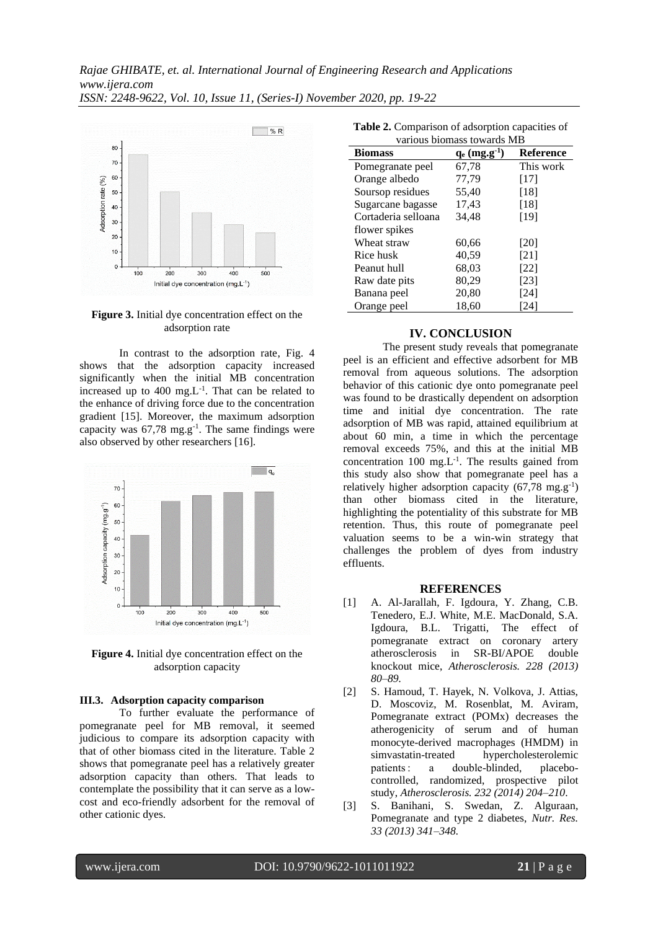

#### **Figure 3.** Initial dye concentration effect on the adsorption rate

In contrast to the adsorption rate, Fig. 4 shows that the adsorption capacity increased significantly when the initial MB concentration increased up to  $400 \text{ mg.L}^{-1}$ . That can be related to the enhance of driving force due to the concentration gradient [15]. Moreover, the maximum adsorption capacity was  $67,78$  mg.g<sup>-1</sup>. The same findings were also observed by other researchers [16].



**Figure 4.** Initial dye concentration effect on the adsorption capacity

#### **III.3. Adsorption capacity comparison**

To further evaluate the performance of pomegranate peel for MB removal, it seemed judicious to compare its adsorption capacity with that of other biomass cited in the literature. Table 2 shows that pomegranate peel has a relatively greater adsorption capacity than others. That leads to contemplate the possibility that it can serve as a lowcost and eco-friendly adsorbent for the removal of other cationic dyes.

| <b>rapic 2.</b> Comparison or adsorption capacities or |                             |           |  |
|--------------------------------------------------------|-----------------------------|-----------|--|
| various biomass towards MB                             |                             |           |  |
| <b>Biomass</b>                                         | $q_e$ (mg.g <sup>-1</sup> ) | Reference |  |
| Pomegranate peel                                       | 67,78                       | This work |  |
| Orange albedo                                          | 77.79                       | $[17]$    |  |
| Soursop residues                                       | 55,40                       | [18]      |  |
| Sugarcane bagasse                                      | 17,43                       | [18]      |  |
| Cortaderia selloana                                    | 34,48                       | [19]      |  |
| flower spikes                                          |                             |           |  |
| Wheat straw                                            | 60,66                       | [20]      |  |
| Rice husk                                              | 40,59                       | [21]      |  |
| Peanut hull                                            | 68,03                       | [22]      |  |
| Raw date pits                                          | 80,29                       | [23]      |  |
| Banana peel                                            | 20,80                       | [24]      |  |
| Orange peel                                            | 18,60                       | 241       |  |
|                                                        |                             |           |  |

# **Table 2.** Comparison of adsorption capacities of

# **IV. CONCLUSION**

The present study reveals that pomegranate peel is an efficient and effective adsorbent for MB removal from aqueous solutions. The adsorption behavior of this cationic dye onto pomegranate peel was found to be drastically dependent on adsorption time and initial dye concentration. The rate adsorption of MB was rapid, attained equilibrium at about 60 min, a time in which the percentage removal exceeds 75%, and this at the initial MB concentration  $100 \text{ mg.L}^{-1}$ . The results gained from this study also show that pomegranate peel has a relatively higher adsorption capacity  $(67,78 \text{ mg} \cdot \text{g}^{-1})$ than other biomass cited in the literature, highlighting the potentiality of this substrate for MB retention. Thus, this route of pomegranate peel valuation seems to be a win-win strategy that challenges the problem of dyes from industry effluents.

#### **REFERENCES**

- [1] A. Al-Jarallah, F. Igdoura, Y. Zhang, C.B. Tenedero, E.J. White, M.E. MacDonald, S.A. Igdoura, B.L. Trigatti, The effect of pomegranate extract on coronary artery atherosclerosis in SR-BI/APOE double knockout mice, *Atherosclerosis. 228 (2013) 80–89.*
- [2] S. Hamoud, T. Hayek, N. Volkova, J. Attias, D. Moscoviz, M. Rosenblat, M. Aviram, Pomegranate extract (POMx) decreases the atherogenicity of serum and of human monocyte-derived macrophages (HMDM) in simvastatin-treated hypercholesterolemic patients : a double-blinded, placebocontrolled, randomized, prospective pilot study, *Atherosclerosis. 232 (2014) 204–210*.
- [3] S. Banihani, S. Swedan, Z. Alguraan, Pomegranate and type 2 diabetes, *Nutr. Res. 33 (2013) 341–348.*